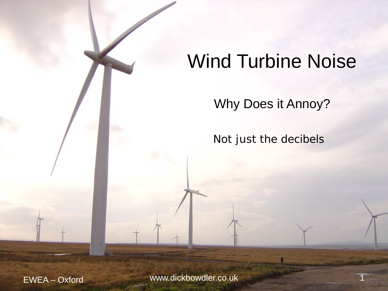# Wind Turbine Noise

Why Does it Annoy?

Not just the decibels

EWEA – Oxford www.dickbowdler.co.uk 1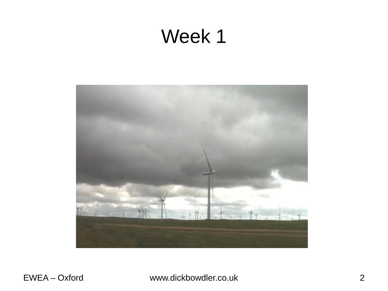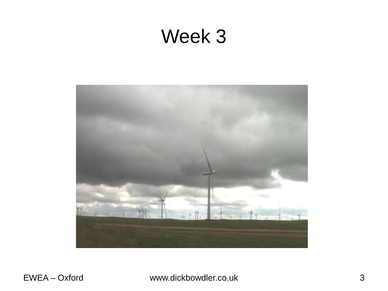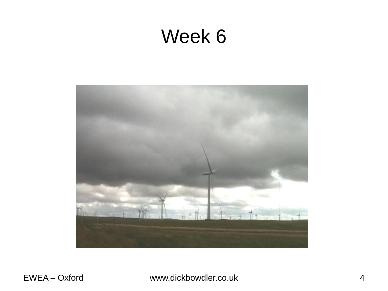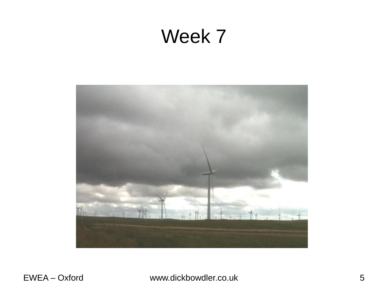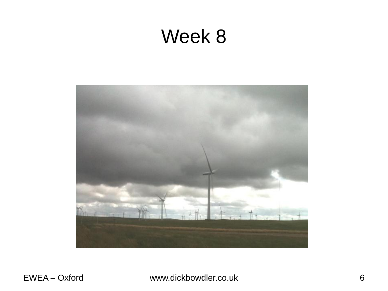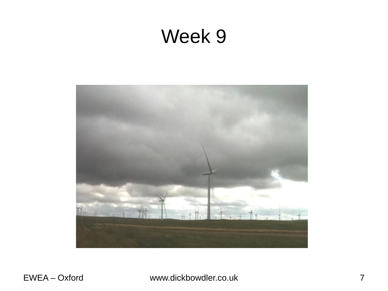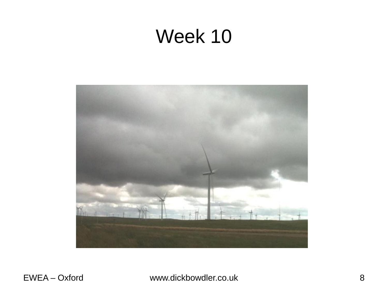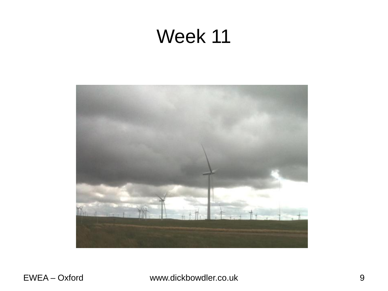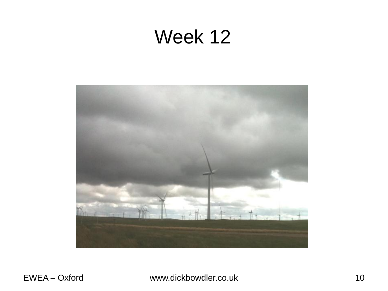![](_page_9_Picture_1.jpeg)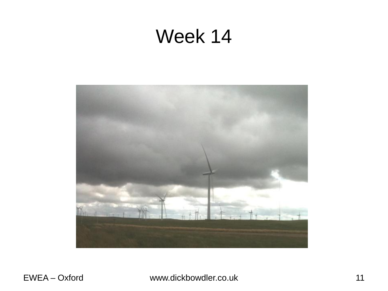![](_page_10_Picture_1.jpeg)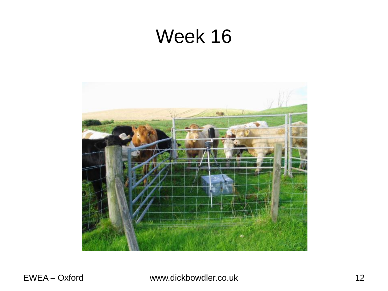![](_page_11_Picture_1.jpeg)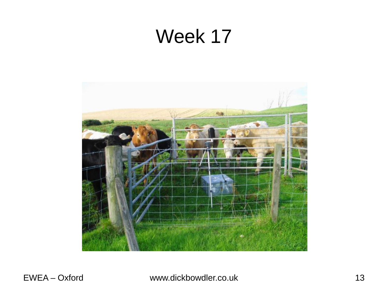![](_page_12_Picture_1.jpeg)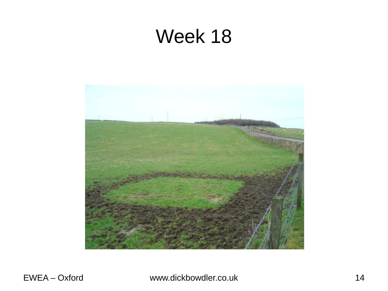![](_page_13_Picture_1.jpeg)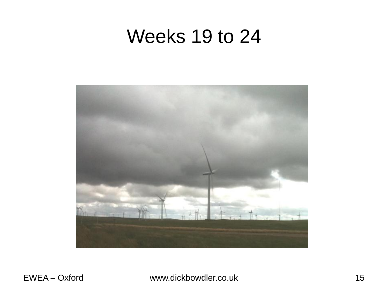### Weeks 19 to 24

![](_page_14_Picture_1.jpeg)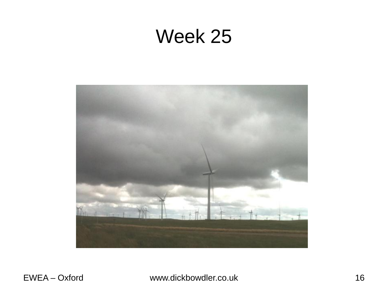![](_page_15_Picture_1.jpeg)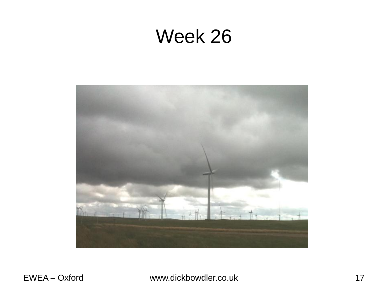![](_page_16_Picture_1.jpeg)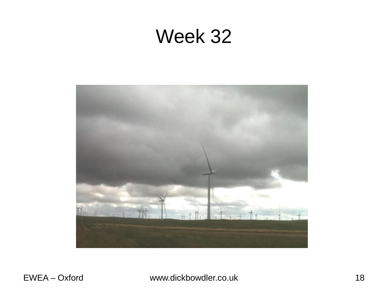![](_page_17_Picture_1.jpeg)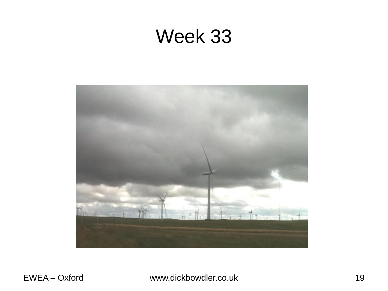![](_page_18_Picture_1.jpeg)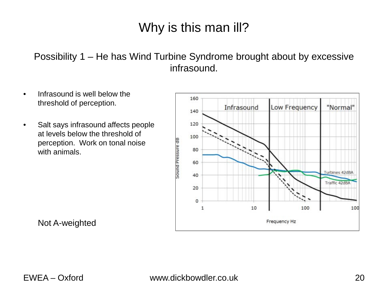Possibility 1 – He has Wind Turbine Syndrome brought about by excessive infrasound.

- Infrasound is well below the threshold of perception.
- Salt says infrasound affects people at levels below the threshold of perception. Work on tonal noise with animals.

![](_page_19_Figure_4.jpeg)

Not A-weighted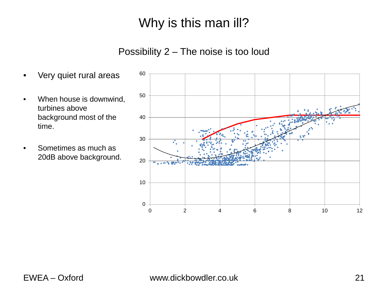#### Possibility 2 – The noise is too loud

- Very quiet rural areas
- When house is downwind, turbines above background most of the time.
- Sometimes as much as 20dB above background.

![](_page_20_Figure_5.jpeg)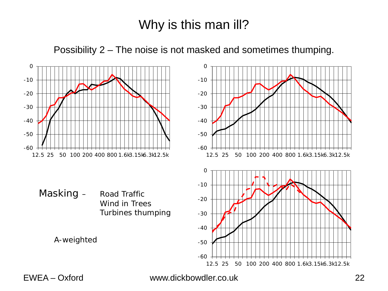Possibility 2 – The noise is not masked and sometimes thumping.

![](_page_21_Figure_2.jpeg)

EWEA – Oxford www.dickbowdler.co.uk 22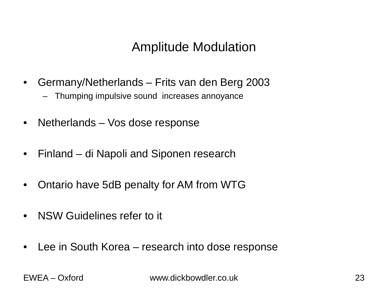#### Amplitude Modulation

- Germany/Netherlands Frits van den Berg 2003
	- Thumping impulsive sound increases annoyance
- Netherlands Vos dose response
- Finland di Napoli and Siponen research
- Ontario have 5dB penalty for AM from WTG
- NSW Guidelines refer to it
- Lee in South Korea research into dose response

EWEA – Oxford www.dickbowdler.co.uk 23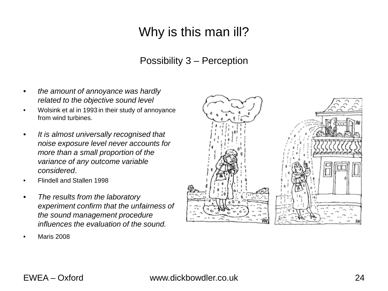#### Possibility 3 – Perception

- *the amount of annoyance was hardly related to the objective sound level*
- Wolsink et al in 1993 in their study of annoyance from wind turbines.
- *It is almost universally recognised that noise exposure level never accounts for more than a small proportion of the variance of any outcome variable considered*.
- Flindell and Stallen 1998
- *The results from the laboratory experiment confirm that the unfairness of the sound management procedure influences the evaluation of the sound.*
- Maris 2008

![](_page_23_Picture_8.jpeg)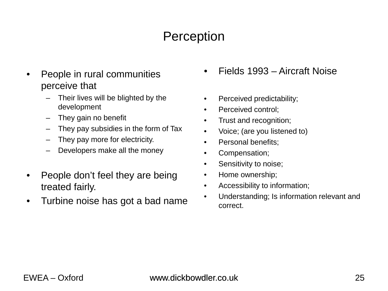### **Perception**

- People in rural communities perceive that
	- Their lives will be blighted by the development
	- They gain no benefit
	- They pay subsidies in the form of Tax
	- They pay more for electricity.
	- Developers make all the money
- People don't feel they are being treated fairly.
- Turbine noise has got a bad name
- Fields 1993 Aircraft Noise
- Perceived predictability;
- Perceived control:
- Trust and recognition;
- Voice; (are you listened to)
- Personal benefits:
- Compensation;
- Sensitivity to noise;
- Home ownership;
- Accessibility to information;
- Understanding; Is information relevant and correct.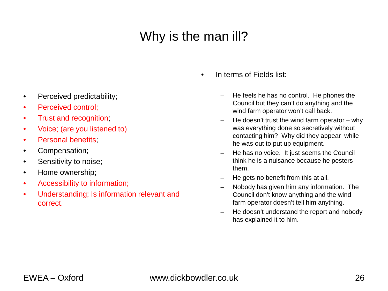- Perceived predictability;
- Perceived control;
- Trust and recognition;
- Voice; (are you listened to)
- Personal benefits;
- Compensation;
- Sensitivity to noise;
- Home ownership;
- Accessibility to information;
- Understanding; Is information relevant and correct.
- In terms of Fields list:
	- He feels he has no control. He phones the Council but they can't do anything and the wind farm operator won't call back.
	- He doesn't trust the wind farm operator why was everything done so secretively without contacting him? Why did they appear while he was out to put up equipment.
	- He has no voice. It just seems the Council think he is a nuisance because he pesters them.
	- He gets no benefit from this at all.
	- Nobody has given him any information. The Council don't know anything and the wind farm operator doesn't tell him anything.
	- He doesn't understand the report and nobody has explained it to him.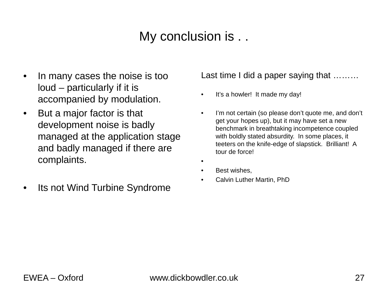#### My conclusion is . .

- In many cases the noise is too loud – particularly if it is accompanied by modulation.
- But a major factor is that development noise is badly managed at the application stage and badly managed if there are complaints.
- Its not Wind Turbine Syndrome

Last time I did a paper saying that ………

- It's a howler! It made my day!
- I'm not certain (so please don't quote me, and don't get your hopes up), but it may have set a new benchmark in breathtaking incompetence coupled with boldly stated absurdity. In some places, it teeters on the knife-edge of slapstick. Brilliant! A tour de force!
- •
- Best wishes.
- Calvin Luther Martin, PhD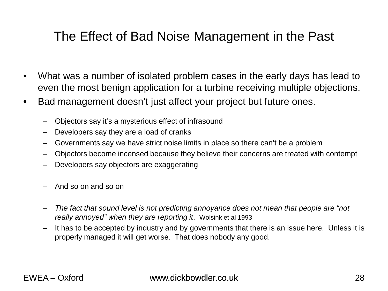### The Effect of Bad Noise Management in the Past

- What was a number of isolated problem cases in the early days has lead to even the most benign application for a turbine receiving multiple objections.
- Bad management doesn't just affect your project but future ones.
	- Objectors say it's a mysterious effect of infrasound
	- Developers say they are a load of cranks
	- Governments say we have strict noise limits in place so there can't be a problem
	- Objectors become incensed because they believe their concerns are treated with contempt
	- Developers say objectors are exaggerating
	- And so on and so on
	- *The fact that sound level is not predicting annoyance does not mean that people are "not really annoyed" when they are reporting it*. Wolsink et al 1993
	- It has to be accepted by industry and by governments that there is an issue here. Unless it is properly managed it will get worse. That does nobody any good.